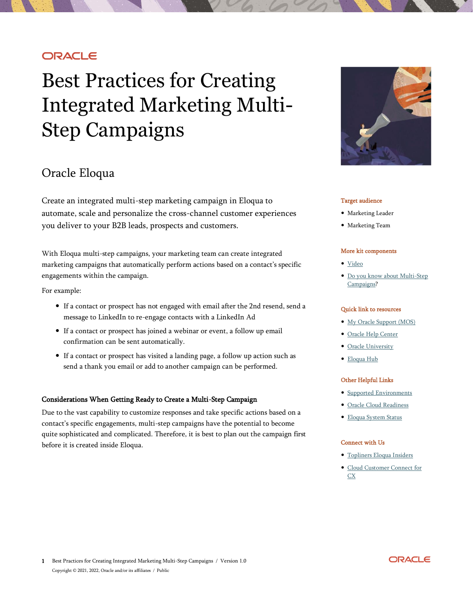# **ORACLE**

# Best Practices for Creating Integrated Marketing Multi-Step Campaigns

# Oracle Eloqua

Create an integrated multi-step marketing campaign in Eloqua to automate, scale and personalize the cross-channel customer experiences you deliver to your B2B leads, prospects and customers.

With Eloqua multi-step campaigns, your marketing team can create integrated marketing campaigns that automatically perform actions based on a contact's specific engagements within the campaign.

For example:

- If a contact or prospect has not engaged with email after the 2nd resend, send a message to LinkedIn to re-engage contacts with a LinkedIn Ad
- If a contact or prospect has joined a webinar or event, a follow up email confirmation can be sent automatically.
- If a contact or prospect has visited a landing page, a follow up action such as send a thank you email or add to another campaign can be performed.

#### Considerations When Getting Ready to Create a Multi-Step Campaign

Due to the vast capability to customize responses and take specific actions based on a contact's specific engagements, multi-step campaigns have the potential to become quite sophisticated and complicated. Therefore, it is best to plan out the campaign first before it is created inside Eloqua.



#### Target audience

- Marketing Leader
- Marketing Team

#### More kit components

- [Video](https://youtu.be/HEn4Pbhx_Z0)
- [Do you know about Multi-Step](https://www.oracle.com/webfolder/cx-implementation/integrated-marketing-multi-step-campaigns-dyk.pdf)  [Campaigns?](https://www.oracle.com/webfolder/cx-implementation/integrated-marketing-multi-step-campaigns-dyk.pdf)

#### Quick link to resources

- [My Oracle Support \(MOS\)](https://support.oracle.com/epmos/faces/MosIndex.jspx?_afrLoop=578622290143934&_afrWindowMode=0&_adf.ctrl-state=2qo3ce9t9_53)
- [Oracle Help Center](http://www.oracle.com/pls/topic/lookup?ctx=cloud&id=engagement)
- [Oracle University](https://learn.oracle.com/ols/home/37002#filtersGroup1=&filtersGroup2=&filtersGroup3=&filtersGroup4=&filtersGroup5=&filtersGroup6=&filtersGroup7=&filtersSearch=)
- [Eloqua Hub](https://go.oracle.com/eloquahub)

#### Other Helpful Links

- [Supported Environments](https://docs.oracle.com/en/cloud/saas/marketing/eloqua-user/Help/General/CertifiedAndSupportedEnvironments.htm)
- [Oracle Cloud Readiness](https://www.oracle.com/webfolder/technetwork/tutorials/tutorial/readiness/offering.html?offering=marketing-eloqua-20)
- [Eloqua System Status](https://community.oracle.com/topliners/categories/eloqua-system-status)

#### Connect with Us

- [Topliners Eloqua Insiders](https://community.oracle.com/topliners/group/1049-eloqua-insiders)
- [Cloud Customer Connect for](https://cloudcustomerconnect.oracle.com/pages/home)   $\mathbf{C} \mathbf{X}$

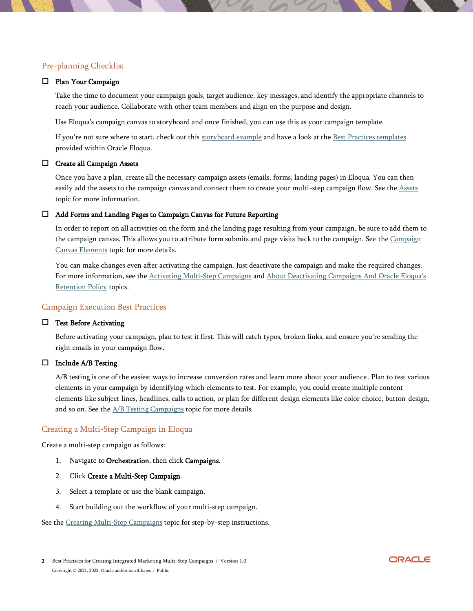# Pre-planning Checklist

#### Plan Your Campaign

Take the time to document your campaign goals, target audience, key messages, and identify the appropriate channels to reach your audience. Collaborate with other team members and align on the purpose and design.

Use Eloqua's campaign canvas to storyboard and once finished, you can use this as your campaign template.

If you're not sure where to start, check out this [storyboard example](https://blog.highstreetit.com/quick-tip-storyboarding-a-multi-step-marketing-campaign-is-critical-in-eloqua-student-engagement-cloud) and have a look at the [Best Practices templates](https://docs.oracle.com/en/cloud/saas/marketing/eloqua-user/Help/TemplateChoosers/TemplateChoosers.htm) [provided w](https://docs.oracle.com/en/cloud/saas/marketing/eloqua-user/Help/TemplateChoosers/TemplateChoosers.htm)ithin Oracle Eloqua.

#### Create all Campaign Assets

Once you have a plan, create all the necessary campaign assets (emails, forms, landing pages) in Eloqua. You can then easily add the assets to the campaign canvas and connect them to create your multi-step campaign flow. See the [Assets](https://docs.oracle.com/en/cloud/saas/marketing/eloqua-user/Help/ExploreAssetsLP.htm) topic for [more in](https://docs.oracle.com/en/cloud/saas/marketing/eloqua-user/Help/ExploreAssetsLP.htm)formation.

#### Add Forms and Landing Pages to Campaign Canvas for Future Reporting

In order to report on all activities on the form and the landing page resulting from your campaign, be sure to add them to the campaign canvas. This allows you to attribute form submits and page visits back to the campaign. See the Campaign [Canvas Elements](https://docs.oracle.com/en/cloud/saas/marketing/eloqua-user/Help/Campaigns/CampaignCanvasElements/CampaignCanvasElements.htm) [topic for more details](https://docs.oracle.com/en/cloud/saas/marketing/eloqua-user/Help/Campaigns/CampaignCanvasElements/CampaignCanvasElements.htm).

You can make changes even after activating the campaign. Just deactivate the campaign and make the required changes. For more information, see the [Activating Multi-Step Campaigns](https://docs.oracle.com/en/cloud/saas/marketing/eloqua-user/Help/Campaigns/Tasks/ActivatingAndDeactivatingCampaigns.htm) and [About Deactivating Campaigns And Oracle Eloqua's](https://docs.oracle.com/en/cloud/saas/marketing/eloqua-user/Help/Campaigns/Tasks/ActivatingAndDeactivatingCampaigns.htm#DeactivatingCampaigns)  [Retention Policy](https://docs.oracle.com/en/cloud/saas/marketing/eloqua-user/Help/Campaigns/Tasks/ActivatingAndDeactivatingCampaigns.htm#DeactivatingCampaigns) topics.

### Campaign Execution Best Practices

#### $\Box$  Test Before Activating

Before activating your campaign, plan to test it first. This will catch typos, broken links, and ensure you're sending the right emails in your campaign flow.

#### $\Box$  Include A/B Testing

A/B testing is one of the easiest ways to increase conversion rates and learn more about your audience. Plan to test various elements in your campaign by identifying which elements to test. For example, you could create multiple content elements like subject lines, headlines, calls to action, or plan for different design elements like color choice, button design, and so on. See the  $A/B$  Testing Campaigns topic fo[r more details.](https://docs.oracle.com/en/cloud/saas/marketing/eloqua-user/Help/Campaigns/ABTesting/ABTestingEmailCampaigns.htm)

#### Creating a Multi-Step Campaign in Eloqua

Create a multi-step campaign as follows:

- 1. Navigate to Orchestration, then click Campaigns.
- 2. Click Create a Multi-Step Campaign.
- 3. Select a template or use the blank campaign.
- 4. Start building out the workflow of your multi-step campaign.

See the [Creating Multi-Step Campaigns](https://docs.oracle.com/en/cloud/saas/marketing/eloqua-user/Help/Campaigns/Tasks/CreatingMultiStepCampaigns.htm) topic for step-by-step instructions.

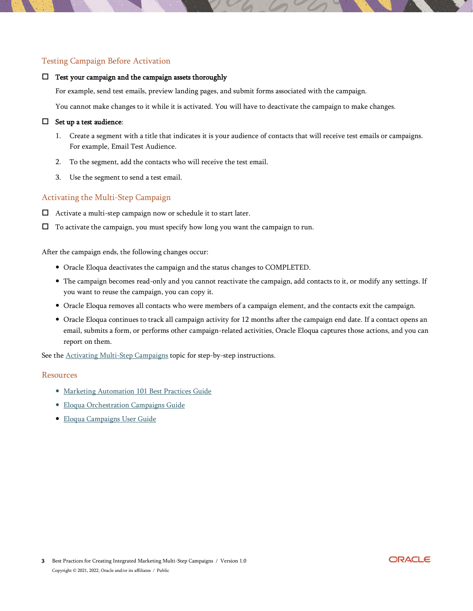## Testing Campaign Before Activation

#### $\Box$  Test your campaign and the campaign assets thoroughly

For example, send test emails, preview landing pages, and submit forms associated with the campaign.

You cannot make changes to it while it is activated. You will have to deactivate the campaign to make changes.

#### $\Box$  Set up a test audience:

- 1. Create a segment with a title that indicates it is your audience of contacts that will receive test emails or campaigns. For example, Email Test Audience.
- 2. To the segment, add the contacts who will receive the test email.
- 3. Use the segment to send a test email.

# Activating the Multi-Step Campaign

- Activate a multi-step campaign now or schedule it to start later.
- $\Box$  To activate the campaign, you must specify how long you want the campaign to run.

After the campaign ends, the following changes occur:

- Oracle Eloqua deactivates the campaign and the status changes to COMPLETED.
- The campaign becomes read-only and you cannot reactivate the campaign, add contacts to it, or modify any settings. If you want to reuse the campaign, you can copy it.
- Oracle Eloqua removes all contacts who were members of a campaign element, and the contacts exit the campaign.
- Oracle Eloqua continues to track all campaign activity for 12 months after the campaign end date. If a contact opens an email, submits a form, or performs other campaign-related activities, Oracle Eloqua captures those actions, and you can report on them.

See the **[Activating Multi-Step Campaigns](https://docs.oracle.com/en/cloud/saas/marketing/eloqua-user/Help/Campaigns/Tasks/ActivatingAndDeactivatingCampaigns.htm)** topic for step-by-step instructions.

#### Resources

- [Marketing Automation 101 Best Practices Guide](https://www.oracle.com/a/ocom/resources/marketing-automation-101-bp-guide.pdf)
- [Eloqua Orchestration Campaigns Guide](https://docs.oracle.com/en/cloud/saas/marketing/eloqua-user/Help/Campaigns/Campaigns.htm)
- [Eloqua Campaigns User Guide](https://docs.oracle.com/en/cloud/saas/marketing/eloqua-user/pdf/OracleEloqua_Campaigns_UserGuide.pdf)